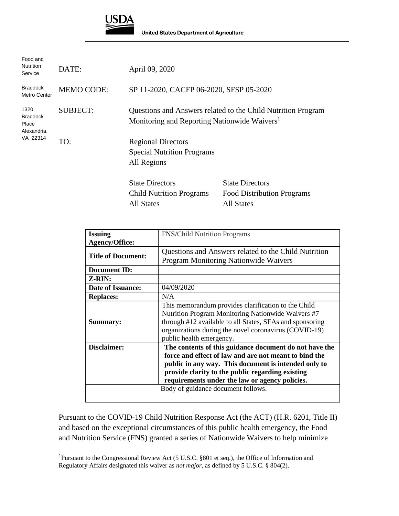

**United States Department of Agriculture** 

| Food and<br><b>Nutrition</b><br>Service         | DATE:             | April 09, 2020                                                                                                           |                                                                                  |
|-------------------------------------------------|-------------------|--------------------------------------------------------------------------------------------------------------------------|----------------------------------------------------------------------------------|
| <b>Braddock</b><br>Metro Center                 | <b>MEMO CODE:</b> | SP 11-2020, CACFP 06-2020, SFSP 05-2020                                                                                  |                                                                                  |
| 1320<br><b>Braddock</b><br>Place<br>Alexandria, | <b>SUBJECT:</b>   | Questions and Answers related to the Child Nutrition Program<br>Monitoring and Reporting Nationwide Waivers <sup>1</sup> |                                                                                  |
| VA 22314                                        | TO:               | <b>Regional Directors</b><br><b>Special Nutrition Programs</b><br>All Regions                                            |                                                                                  |
|                                                 |                   | <b>State Directors</b><br><b>Child Nutrition Programs</b><br><b>All States</b>                                           | <b>State Directors</b><br><b>Food Distribution Programs</b><br><b>All States</b> |

| <b>Issuing</b>            | <b>FNS/Child Nutrition Programs</b>                      |  |  |
|---------------------------|----------------------------------------------------------|--|--|
| <b>Agency/Office:</b>     |                                                          |  |  |
|                           | Questions and Answers related to the Child Nutrition     |  |  |
| <b>Title of Document:</b> | <b>Program Monitoring Nationwide Waivers</b>             |  |  |
| <b>Document ID:</b>       |                                                          |  |  |
| Z-RIN:                    |                                                          |  |  |
| <b>Date of Issuance:</b>  | 04/09/2020                                               |  |  |
| <b>Replaces:</b>          | N/A                                                      |  |  |
|                           | This memorandum provides clarification to the Child      |  |  |
|                           | Nutrition Program Monitoring Nationwide Waivers #7       |  |  |
| Summary:                  | through #12 available to all States, SFAs and sponsoring |  |  |
|                           | organizations during the novel coronavirus (COVID-19)    |  |  |
|                           | public health emergency.                                 |  |  |
| Disclaimer:               | The contents of this guidance document do not have the   |  |  |
|                           | force and effect of law and are not meant to bind the    |  |  |
|                           | public in any way. This document is intended only to     |  |  |
|                           | provide clarity to the public regarding existing         |  |  |
|                           | requirements under the law or agency policies.           |  |  |
|                           | Body of guidance document follows.                       |  |  |
|                           |                                                          |  |  |

Pursuant to the COVID-19 Child Nutrition Response Act (the ACT) (H.R. 6201, Title II) and based on the exceptional circumstances of this public health emergency, the Food and Nutrition Service (FNS) granted a series of Nationwide Waivers to help minimize

<sup>1</sup>Pursuant to the Congressional Review Act (5 U.S.C. §801 et seq.), the Office of Information and Regulatory Affairs designated this waiver as *not major*, as defined by 5 U.S.C. § 804(2).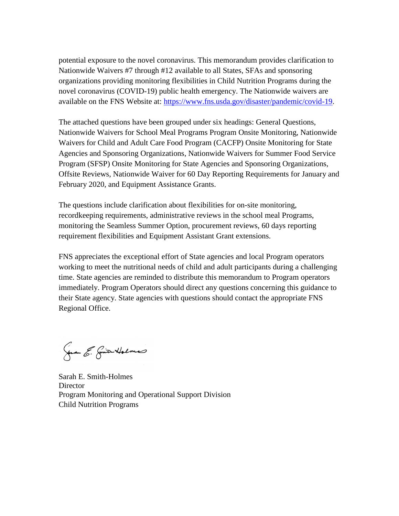potential exposure to the novel coronavirus. This memorandum provides clarification to Nationwide Waivers #7 through #12 available to all States, SFAs and sponsoring organizations providing monitoring flexibilities in Child Nutrition Programs during the novel coronavirus (COVID-19) public health emergency. The Nationwide waivers are available on the FNS Website at: [https://www.fns.usda.gov/disaster/pandemic/covid-19.](https://www.fns.usda.gov/disaster/pandemic/covid-19)

The attached questions have been grouped under six headings: General Questions, Nationwide Waivers for School Meal Programs Program Onsite Monitoring, Nationwide Waivers for Child and Adult Care Food Program (CACFP) Onsite Monitoring for State Agencies and Sponsoring Organizations, Nationwide Waivers for Summer Food Service Program (SFSP) Onsite Monitoring for State Agencies and Sponsoring Organizations, Offsite Reviews, Nationwide Waiver for 60 Day Reporting Requirements for January and February 2020, and Equipment Assistance Grants.

The questions include clarification about flexibilities for on-site monitoring, recordkeeping requirements, administrative reviews in the school meal Programs, monitoring the Seamless Summer Option, procurement reviews, 60 days reporting requirement flexibilities and Equipment Assistant Grant extensions.

FNS appreciates the exceptional effort of State agencies and local Program operators working to meet the nutritional needs of child and adult participants during a challenging time. State agencies are reminded to distribute this memorandum to Program operators immediately. Program Operators should direct any questions concerning this guidance to their State agency. State agencies with questions should contact the appropriate FNS Regional Office.

Gran E. Grien Holmes

Sarah E. Smith-Holmes **Director** Program Monitoring and Operational Support Division Child Nutrition Programs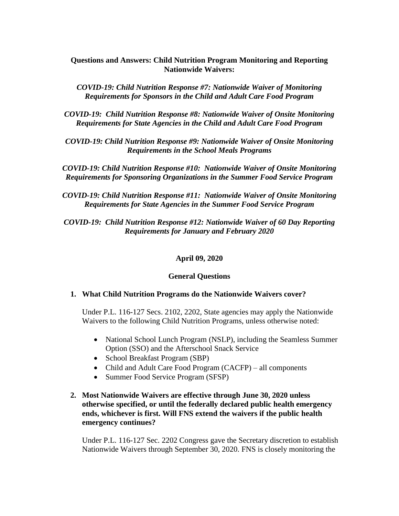# **Questions and Answers: Child Nutrition Program Monitoring and Reporting Nationwide Waivers:**

*COVID-19: Child Nutrition Response #7: Nationwide Waiver of Monitoring Requirements for Sponsors in the Child and Adult Care Food Program*

*COVID-19: Child Nutrition Response #8: Nationwide Waiver of Onsite Monitoring Requirements for State Agencies in the Child and Adult Care Food Program*

*COVID-19: Child Nutrition Response #9: Nationwide Waiver of Onsite Monitoring Requirements in the School Meals Programs*

*COVID-19: Child Nutrition Response #10: Nationwide Waiver of Onsite Monitoring Requirements for Sponsoring Organizations in the Summer Food Service Program*

*COVID-19: Child Nutrition Response #11: Nationwide Waiver of Onsite Monitoring Requirements for State Agencies in the Summer Food Service Program*

*COVID-19: Child Nutrition Response #12: Nationwide Waiver of 60 Day Reporting Requirements for January and February 2020*

#### **April 09, 2020**

#### **General Questions**

#### **1. What Child Nutrition Programs do the Nationwide Waivers cover?**

Under P.L. 116-127 Secs. 2102, 2202, State agencies may apply the Nationwide Waivers to the following Child Nutrition Programs, unless otherwise noted:

- National School Lunch Program (NSLP), including the Seamless Summer Option (SSO) and the Afterschool Snack Service
- School Breakfast Program (SBP)
- Child and Adult Care Food Program (CACFP) all components
- Summer Food Service Program (SFSP)

# **2. Most Nationwide Waivers are effective through June 30, 2020 unless otherwise specified, or until the federally declared public health emergency ends, whichever is first. Will FNS extend the waivers if the public health emergency continues?**

Under P.L. 116-127 Sec. 2202 Congress gave the Secretary discretion to establish Nationwide Waivers through September 30, 2020. FNS is closely monitoring the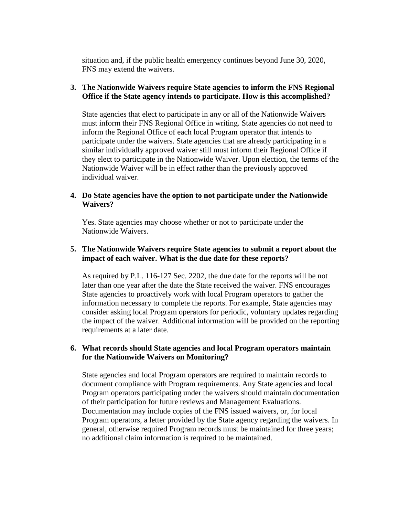situation and, if the public health emergency continues beyond June 30, 2020, FNS may extend the waivers.

#### **3. The Nationwide Waivers require State agencies to inform the FNS Regional Office if the State agency intends to participate. How is this accomplished?**

State agencies that elect to participate in any or all of the Nationwide Waivers must inform their FNS Regional Office in writing. State agencies do not need to inform the Regional Office of each local Program operator that intends to participate under the waivers. State agencies that are already participating in a similar individually approved waiver still must inform their Regional Office if they elect to participate in the Nationwide Waiver. Upon election, the terms of the Nationwide Waiver will be in effect rather than the previously approved individual waiver.

#### **4. Do State agencies have the option to not participate under the Nationwide Waivers?**

Yes. State agencies may choose whether or not to participate under the Nationwide Waivers.

# **5. The Nationwide Waivers require State agencies to submit a report about the impact of each waiver. What is the due date for these reports?**

As required by P.L. 116-127 Sec. 2202, the due date for the reports will be not later than one year after the date the State received the waiver. FNS encourages State agencies to proactively work with local Program operators to gather the information necessary to complete the reports. For example, State agencies may consider asking local Program operators for periodic, voluntary updates regarding the impact of the waiver. Additional information will be provided on the reporting requirements at a later date.

#### **6. What records should State agencies and local Program operators maintain for the Nationwide Waivers on Monitoring?**

State agencies and local Program operators are required to maintain records to document compliance with Program requirements. Any State agencies and local Program operators participating under the waivers should maintain documentation of their participation for future reviews and Management Evaluations. Documentation may include copies of the FNS issued waivers, or, for local Program operators, a letter provided by the State agency regarding the waivers. In general, otherwise required Program records must be maintained for three years; no additional claim information is required to be maintained.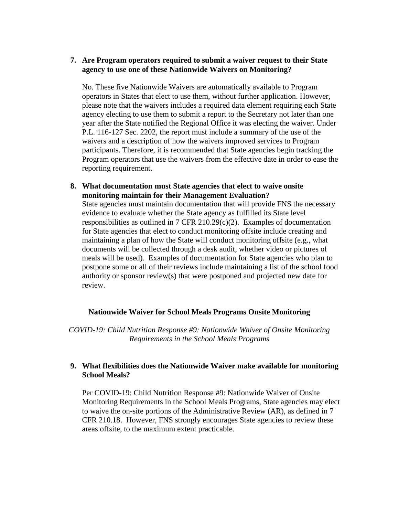#### **7. Are Program operators required to submit a waiver request to their State agency to use one of these Nationwide Waivers on Monitoring?**

No. These five Nationwide Waivers are automatically available to Program operators in States that elect to use them, without further application. However, please note that the waivers includes a required data element requiring each State agency electing to use them to submit a report to the Secretary not later than one year after the State notified the Regional Office it was electing the waiver. Under P.L. 116-127 Sec. 2202, the report must include a summary of the use of the waivers and a description of how the waivers improved services to Program participants. Therefore, it is recommended that State agencies begin tracking the Program operators that use the waivers from the effective date in order to ease the reporting requirement.

**8. What documentation must State agencies that elect to waive onsite monitoring maintain for their Management Evaluation?**

State agencies must maintain documentation that will provide FNS the necessary evidence to evaluate whether the State agency as fulfilled its State level responsibilities as outlined in 7 CFR 210.29(c)(2). Examples of documentation for State agencies that elect to conduct monitoring offsite include creating and maintaining a plan of how the State will conduct monitoring offsite (e.g., what documents will be collected through a desk audit, whether video or pictures of meals will be used). Examples of documentation for State agencies who plan to postpone some or all of their reviews include maintaining a list of the school food authority or sponsor review(s) that were postponed and projected new date for review.

#### **Nationwide Waiver for School Meals Programs Onsite Monitoring**

*COVID-19: Child Nutrition Response #9: Nationwide Waiver of Onsite Monitoring Requirements in the School Meals Programs*

# **9. What flexibilities does the Nationwide Waiver make available for monitoring School Meals?**

Per COVID-19: Child Nutrition Response #9: Nationwide Waiver of Onsite Monitoring Requirements in the School Meals Programs, State agencies may elect to waive the on-site portions of the Administrative Review (AR), as defined in 7 CFR 210.18. However, FNS strongly encourages State agencies to review these areas offsite, to the maximum extent practicable.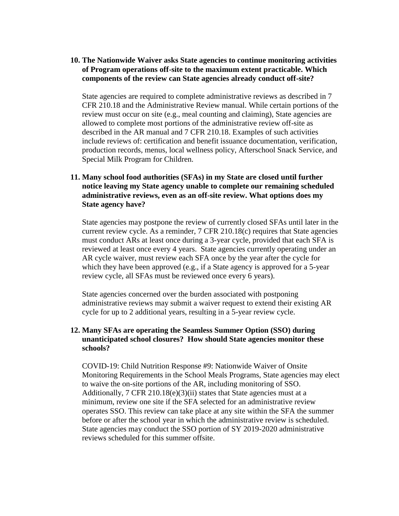# **10. The Nationwide Waiver asks State agencies to continue monitoring activities of Program operations off-site to the maximum extent practicable. Which components of the review can State agencies already conduct off-site?**

State agencies are required to complete administrative reviews as described in 7 CFR 210.18 and the Administrative Review manual. While certain portions of the review must occur on site (e.g., meal counting and claiming), State agencies are allowed to complete most portions of the administrative review off-site as described in the AR manual and 7 CFR 210.18. Examples of such activities include reviews of: certification and benefit issuance documentation, verification, production records, menus, local wellness policy, Afterschool Snack Service, and Special Milk Program for Children.

# **11. Many school food authorities (SFAs) in my State are closed until further notice leaving my State agency unable to complete our remaining scheduled administrative reviews, even as an off-site review. What options does my State agency have?**

State agencies may postpone the review of currently closed SFAs until later in the current review cycle. As a reminder, 7 CFR 210.18(c) requires that State agencies must conduct ARs at least once during a 3-year cycle, provided that each SFA is reviewed at least once every 4 years. State agencies currently operating under an AR cycle waiver, must review each SFA once by the year after the cycle for which they have been approved (e.g., if a State agency is approved for a 5-year review cycle, all SFAs must be reviewed once every 6 years).

State agencies concerned over the burden associated with postponing administrative reviews may submit a waiver request to extend their existing AR cycle for up to 2 additional years, resulting in a 5-year review cycle.

# **12. Many SFAs are operating the Seamless Summer Option (SSO) during unanticipated school closures? How should State agencies monitor these schools?**

COVID-19: Child Nutrition Response #9: Nationwide Waiver of Onsite Monitoring Requirements in the School Meals Programs, State agencies may elect to waive the on-site portions of the AR, including monitoring of SSO. Additionally, 7 CFR 210.18(e)(3)(ii) states that State agencies must at a minimum, review one site if the SFA selected for an administrative review operates SSO. This review can take place at any site within the SFA the summer before or after the school year in which the administrative review is scheduled. State agencies may conduct the SSO portion of SY 2019-2020 administrative reviews scheduled for this summer offsite.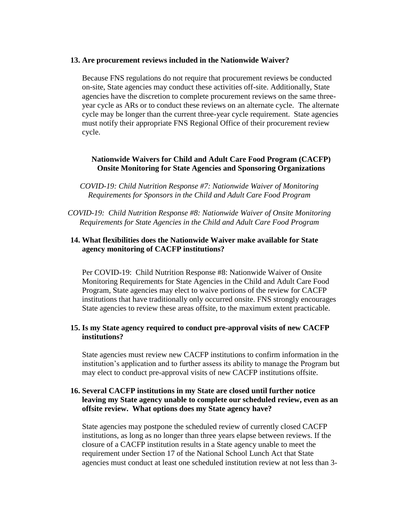#### **13. Are procurement reviews included in the Nationwide Waiver?**

Because FNS regulations do not require that procurement reviews be conducted on-site, State agencies may conduct these activities off-site. Additionally, State agencies have the discretion to complete procurement reviews on the same threeyear cycle as ARs or to conduct these reviews on an alternate cycle. The alternate cycle may be longer than the current three-year cycle requirement. State agencies must notify their appropriate FNS Regional Office of their procurement review cycle.

# **Nationwide Waivers for Child and Adult Care Food Program (CACFP) Onsite Monitoring for State Agencies and Sponsoring Organizations**

*COVID-19: Child Nutrition Response #7: Nationwide Waiver of Monitoring Requirements for Sponsors in the Child and Adult Care Food Program*

*COVID-19: Child Nutrition Response #8: Nationwide Waiver of Onsite Monitoring Requirements for State Agencies in the Child and Adult Care Food Program*

## **14. What flexibilities does the Nationwide Waiver make available for State agency monitoring of CACFP institutions?**

Per COVID-19: Child Nutrition Response #8: Nationwide Waiver of Onsite Monitoring Requirements for State Agencies in the Child and Adult Care Food Program, State agencies may elect to waive portions of the review for CACFP institutions that have traditionally only occurred onsite. FNS strongly encourages State agencies to review these areas offsite, to the maximum extent practicable.

#### **15. Is my State agency required to conduct pre-approval visits of new CACFP institutions?**

State agencies must review new CACFP institutions to confirm information in the institution's application and to further assess its ability to manage the Program but may elect to conduct pre-approval visits of new CACFP institutions offsite.

# **16. Several CACFP institutions in my State are closed until further notice leaving my State agency unable to complete our scheduled review, even as an offsite review. What options does my State agency have?**

State agencies may postpone the scheduled review of currently closed CACFP institutions, as long as no longer than three years elapse between reviews. If the closure of a CACFP institution results in a State agency unable to meet the requirement under Section 17 of the National School Lunch Act that State agencies must conduct at least one scheduled institution review at not less than 3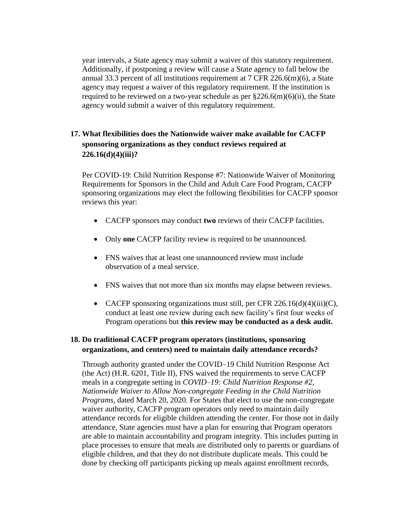year intervals, a State agency may submit a waiver of this statutory requirement. Additionally, if postponing a review will cause a State agency to fall below the annual 33.3 percent of all institutions requirement at 7 CFR 226.6(m)(6), a State agency may request a waiver of this regulatory requirement. If the institution is required to be reviewed on a two-year schedule as per  $226.6(m)(6)(ii)$ , the State agency would submit a waiver of this regulatory requirement.

# **17. What flexibilities does the Nationwide waiver make available for CACFP sponsoring organizations as they conduct reviews required at 226.16(d)(4)(iii)?**

Per COVID-19: Child Nutrition Response #7: Nationwide Waiver of Monitoring Requirements for Sponsors in the Child and Adult Care Food Program, CACFP sponsoring organizations may elect the following flexibilities for CACFP sponsor reviews this year:

- CACFP sponsors may conduct **two** reviews of their CACFP facilities.
- Only **one** CACFP facility review is required to be unannounced.
- FNS waives that at least one unannounced review must include observation of a meal service.
- FNS waives that not more than six months may elapse between reviews.
- CACFP sponsoring organizations must still, per CFR  $226.16(d)(4)(iii)(C)$ , conduct at least one review during each new facility's first four weeks of Program operations but **this review may be conducted as a desk audit.**

# **18. Do traditional CACFP program operators (institutions, sponsoring organizations, and centers) need to maintain daily attendance records?**

Through authority granted under the COVID–19 Child Nutrition Response Act (the Act) (H.R. 6201, Title II), FNS waived the requirements to serve CACFP meals in a congregate setting in *COVID–19: Child Nutrition Response #2, Nationwide Waiver to Allow Non-congregate Feeding in the Child Nutrition Programs*, dated March 20, 2020. For States that elect to use the non-congregate waiver authority, CACFP program operators only need to maintain daily attendance records for eligible children attending the center. For those not in daily attendance, State agencies must have a plan for ensuring that Program operators are able to maintain accountability and program integrity. This includes putting in place processes to ensure that meals are distributed only to parents or guardians of eligible children, and that they do not distribute duplicate meals. This could be done by checking off participants picking up meals against enrollment records,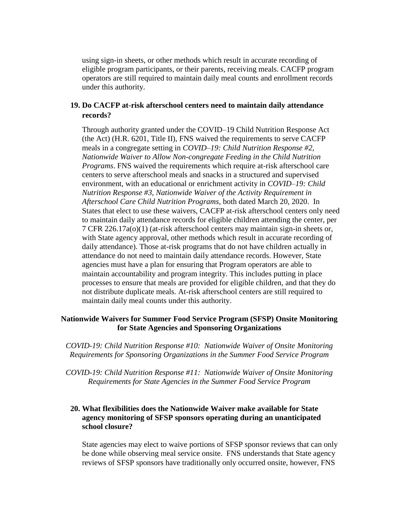using sign-in sheets, or other methods which result in accurate recording of eligible program participants, or their parents, receiving meals. CACFP program operators are still required to maintain daily meal counts and enrollment records under this authority.

#### **19. Do CACFP at-risk afterschool centers need to maintain daily attendance records?**

Through authority granted under the COVID–19 Child Nutrition Response Act (the Act) (H.R. 6201, Title II), FNS waived the requirements to serve CACFP meals in a congregate setting in *COVID–19: Child Nutrition Response #2, Nationwide Waiver to Allow Non-congregate Feeding in the Child Nutrition Programs*. FNS waived the requirements which require at-risk afterschool care centers to serve afterschool meals and snacks in a structured and supervised environment, with an educational or enrichment activity in *COVID–19: Child Nutrition Response #3, Nationwide Waiver of the Activity Requirement in Afterschool Care Child Nutrition Programs*, both dated March 20, 2020. In States that elect to use these waivers, CACFP at-risk afterschool centers only need to maintain daily attendance records for eligible children attending the center, per 7 CFR 226.17a(o)(1) (at-risk afterschool centers may maintain sign-in sheets or, with State agency approval, other methods which result in accurate recording of daily attendance). Those at-risk programs that do not have children actually in attendance do not need to maintain daily attendance records. However, State agencies must have a plan for ensuring that Program operators are able to maintain accountability and program integrity. This includes putting in place processes to ensure that meals are provided for eligible children, and that they do not distribute duplicate meals. At-risk afterschool centers are still required to maintain daily meal counts under this authority.

## **Nationwide Waivers for Summer Food Service Program (SFSP) Onsite Monitoring for State Agencies and Sponsoring Organizations**

*COVID-19: Child Nutrition Response #10: Nationwide Waiver of Onsite Monitoring Requirements for Sponsoring Organizations in the Summer Food Service Program*

*COVID-19: Child Nutrition Response #11: Nationwide Waiver of Onsite Monitoring Requirements for State Agencies in the Summer Food Service Program*

# **20. What flexibilities does the Nationwide Waiver make available for State agency monitoring of SFSP sponsors operating during an unanticipated school closure?**

State agencies may elect to waive portions of SFSP sponsor reviews that can only be done while observing meal service onsite. FNS understands that State agency reviews of SFSP sponsors have traditionally only occurred onsite, however, FNS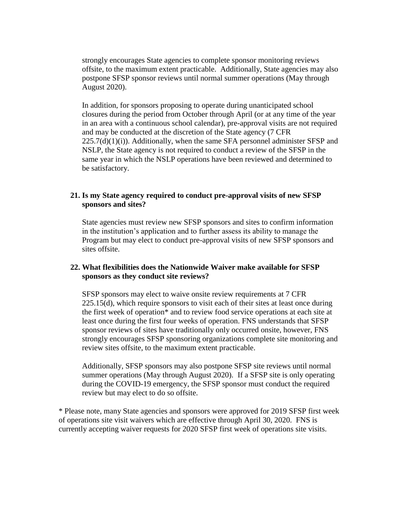strongly encourages State agencies to complete sponsor monitoring reviews offsite, to the maximum extent practicable. Additionally, State agencies may also postpone SFSP sponsor reviews until normal summer operations (May through August 2020).

In addition, for sponsors proposing to operate during unanticipated school closures during the period from October through April (or at any time of the year in an area with a continuous school calendar), pre-approval visits are not required and may be conducted at the discretion of the State agency (7 CFR  $225.7(d)(1)(i)$ . Additionally, when the same SFA personnel administer SFSP and NSLP, the State agency is not required to conduct a review of the SFSP in the same year in which the NSLP operations have been reviewed and determined to be satisfactory.

## **21. Is my State agency required to conduct pre-approval visits of new SFSP sponsors and sites?**

State agencies must review new SFSP sponsors and sites to confirm information in the institution's application and to further assess its ability to manage the Program but may elect to conduct pre-approval visits of new SFSP sponsors and sites offsite.

# **22. What flexibilities does the Nationwide Waiver make available for SFSP sponsors as they conduct site reviews?**

SFSP sponsors may elect to waive onsite review requirements at 7 CFR 225.15(d), which require sponsors to visit each of their sites at least once during the first week of operation\* and to review food service operations at each site at least once during the first four weeks of operation. FNS understands that SFSP sponsor reviews of sites have traditionally only occurred onsite, however, FNS strongly encourages SFSP sponsoring organizations complete site monitoring and review sites offsite, to the maximum extent practicable.

Additionally, SFSP sponsors may also postpone SFSP site reviews until normal summer operations (May through August 2020). If a SFSP site is only operating during the COVID-19 emergency, the SFSP sponsor must conduct the required review but may elect to do so offsite.

\* Please note, many State agencies and sponsors were approved for 2019 SFSP first week of operations site visit waivers which are effective through April 30, 2020. FNS is currently accepting waiver requests for 2020 SFSP first week of operations site visits.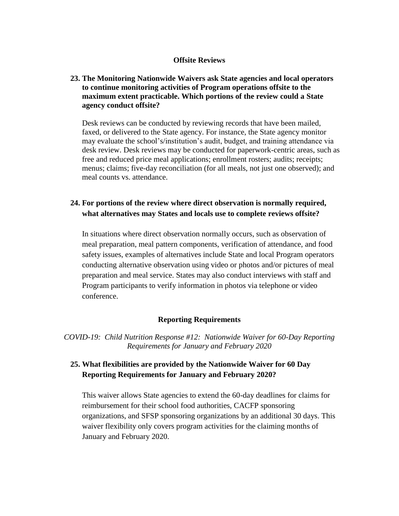#### **Offsite Reviews**

# **23. The Monitoring Nationwide Waivers ask State agencies and local operators to continue monitoring activities of Program operations offsite to the maximum extent practicable. Which portions of the review could a State agency conduct offsite?**

Desk reviews can be conducted by reviewing records that have been mailed, faxed, or delivered to the State agency. For instance, the State agency monitor may evaluate the school's/institution's audit, budget, and training attendance via desk review. Desk reviews may be conducted for paperwork-centric areas, such as free and reduced price meal applications; enrollment rosters; audits; receipts; menus; claims; five-day reconciliation (for all meals, not just one observed); and meal counts vs. attendance.

# **24. For portions of the review where direct observation is normally required, what alternatives may States and locals use to complete reviews offsite?**

In situations where direct observation normally occurs, such as observation of meal preparation, meal pattern components, verification of attendance, and food safety issues, examples of alternatives include State and local Program operators conducting alternative observation using video or photos and/or pictures of meal preparation and meal service. States may also conduct interviews with staff and Program participants to verify information in photos via telephone or video conference.

#### **Reporting Requirements**

*COVID-19: Child Nutrition Response #12: Nationwide Waiver for 60-Day Reporting Requirements for January and February 2020*

# **25. What flexibilities are provided by the Nationwide Waiver for 60 Day Reporting Requirements for January and February 2020?**

This waiver allows State agencies to extend the 60-day deadlines for claims for reimbursement for their school food authorities, CACFP sponsoring organizations, and SFSP sponsoring organizations by an additional 30 days. This waiver flexibility only covers program activities for the claiming months of January and February 2020.